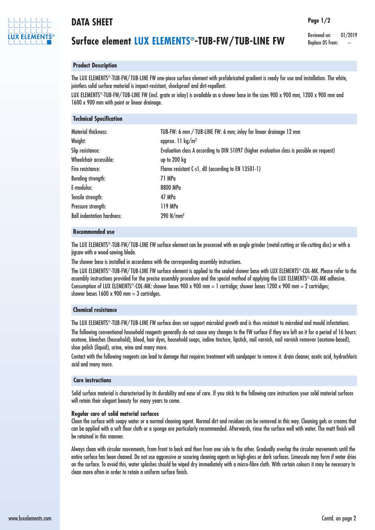

# **DATA SHEET**

# **Surface element LUX ELEMENTS®-TUB-FW/TUB-LINE FW**

Reviewed on: 01/2019 Replace DS from:

**Page 1/2**

## **Product Description**

**Technical Specification**

The LUX ELEMENTS ®-TUB-FW/ TUB-LINE FW one-piece surface element with prefabricated gradient is ready for use and installation. The white, jointless solid surface material is impact-resistant, shockproof and dirt-repellent.

LUX ELEMENTS ®-TUB-FW/ TUB-LINE FW (incl. grate or inlay) is available as a shower base in the sizes 900 x 900 mm, 1200 x 900 mm and 1600 x 900 mm with point or linear drainage.

| <b>IC/IIII/MI ARC/III/MIINII</b>  |                                                                                                 |
|-----------------------------------|-------------------------------------------------------------------------------------------------|
| Material thickness:<br>Weight:    | TUB-FW: 6 mm / TUB-LINE FW: 6 mm; inlay for linear drainage 12 mm<br>approx. 11 $\text{kg/m}^2$ |
| Slip resistance:                  | Evaluation class A according to DIN 51097 (higher evaluation class is possible on request)      |
| Wheelchair accessible:            | up to $200$ kg                                                                                  |
| Fire resistance:                  | Flame resistant C-s1, d0 (according to EN 13501-1)                                              |
| <b>Bending strength:</b>          | 71 MPa                                                                                          |
| E-modulus:                        | 8800 MPa                                                                                        |
| Tensile strength:                 | 47 MPa                                                                                          |
| Pressure strength:                | 119 MPa                                                                                         |
| <b>Ball indentation hardness:</b> | $290$ N/mm <sup>2</sup>                                                                         |
|                                   |                                                                                                 |

## **Recommended use**

The LUX ELEMENTS ®-TUB-FW/ TUB-LINE FW surface element can be processed with an angle grinder (metal-cutting or tile-cutting disc) or with a jigsaw with a wood-sawing blade.

The shower base is installed in accordance with the corresponding assembly instructions.

The LUX ELEMENTS ®-TUB-FW/ TUB-LINE FW surface element is applied to the sealed shower base with LUX ELEMENTS ®-COL-MK. Please refer to the assembly instructions provided for the precise assembly procedure and the special method of applying the LUX ELEMENTS ®-COL-MK adhesive. Consumption of LUX ELEMENTS ®-COL-MK: shower bases 900 x 900 mm = 1 cartridge; shower bases 1200 x 900 mm = 2 cartridges; shower bases  $1600 \times 900$  mm = 3 cartridges.

## **Chemical resistance**

The LUX ELEMENTS ®-TUB-FW/ TUB-LINE FW surface does not support microbial growth and is thus resistant to microbial and mould infestations.

The following conventional household reagents generally do not cause any changes to the FW surface if they are left on it for a period of 16 hours: acetone, bleaches (household), blood, hair dyes, household soaps, iodine tincture, lipstick, nail varnish, nail varnish remover (acetone-based), shoe polish (liquid), urine, wine and many more.

Contact with the following reagents can lead to damage that requires treatment with sandpaper to remove it. drain cleaner, acetic acid, hydrochloric acid and many more.

## **Care instructions**

Solid surface material is characterised by its durability and ease of care. If you stick to the following care instructions your solid material surfaces will retain their elegant beauty for many years to come.

#### **Regular care of solid material surfaces**

Clean the surface with soapy water or a normal cleaning agent. Normal dirt and residues can be removed in this way. Cleaning gels or creams that can be applied with a soft floor cloth or a sponge are particularly recommended. Afterwards, rinse the surface well with water. The matt finish will be retained in this manner.

Always clean with circular movements, from front to back and then from one side to the other. Gradually overlap the circular movements until the entire surface has been cleaned. Do not use aggressive or scouring cleaning agents on high-gloss or dark surfaces. Limescale may form if water dries on the surface. To avoid this, water splashes should be wiped dry immediately with a micro-fibre cloth. With certain colours it may be necessary to clean more often in order to retain a uniform surface finish.